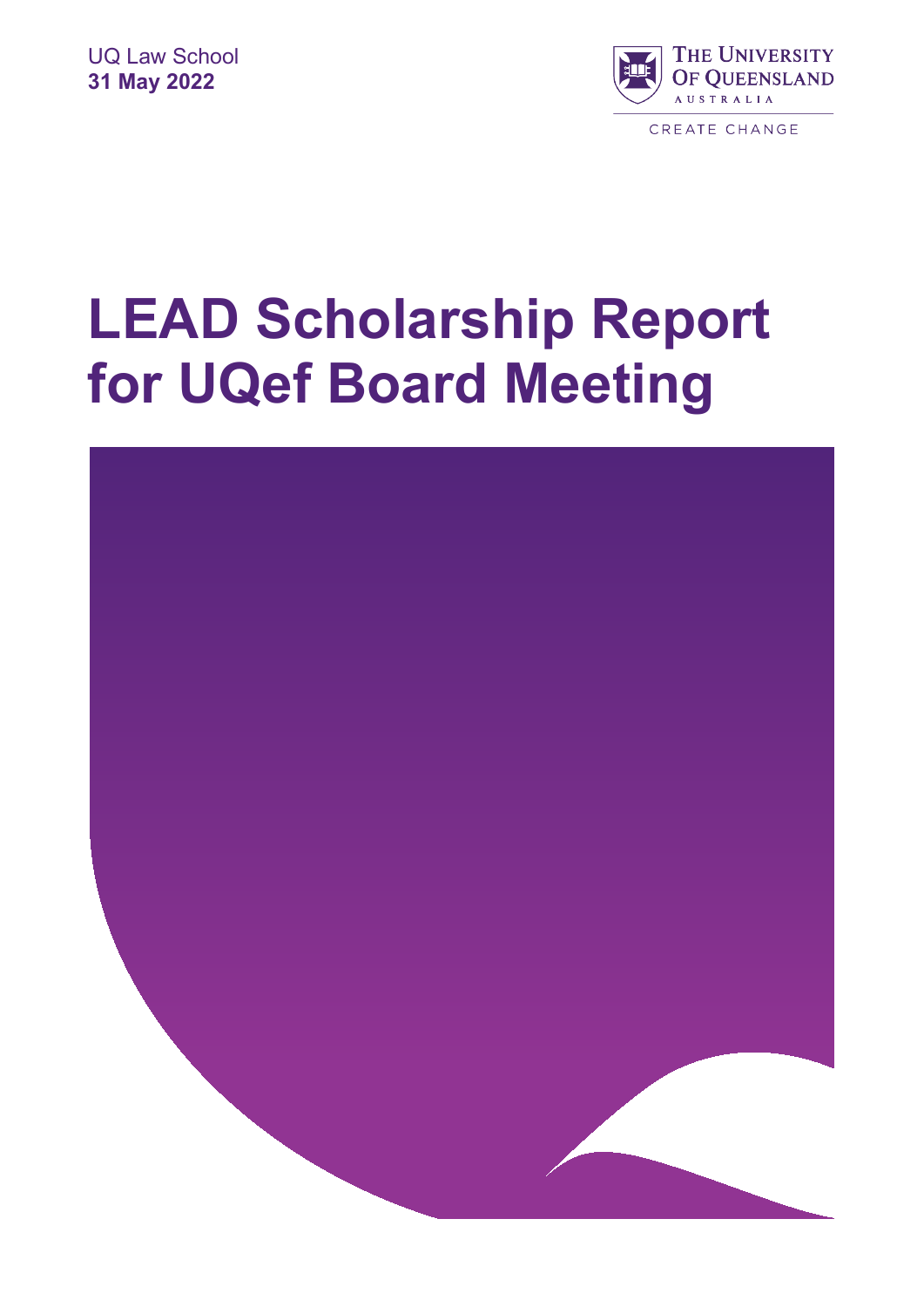

# **LEAD Scholarship Report for UQef Board Meeting**

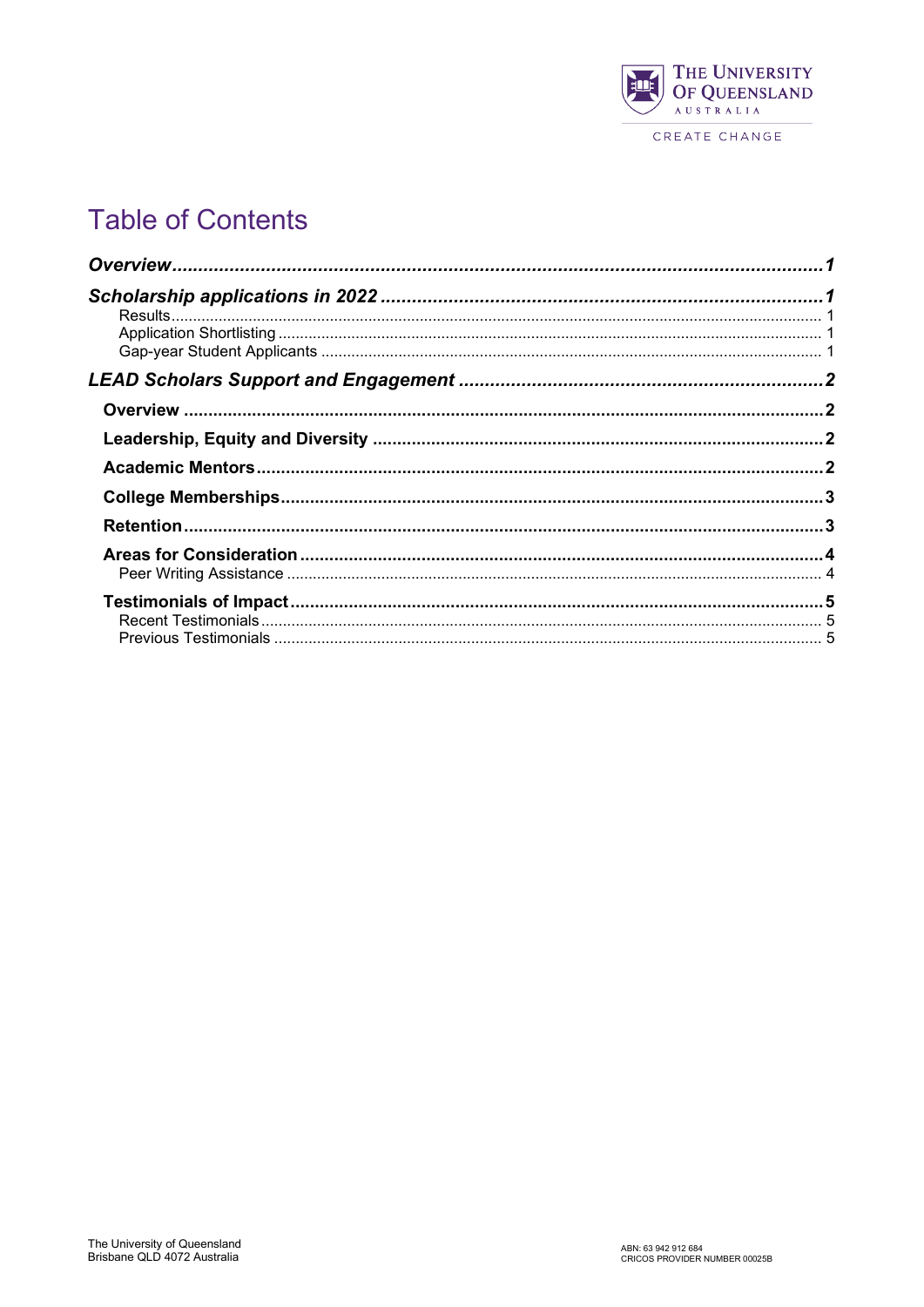

## CREATE CHANGE

# **Table of Contents**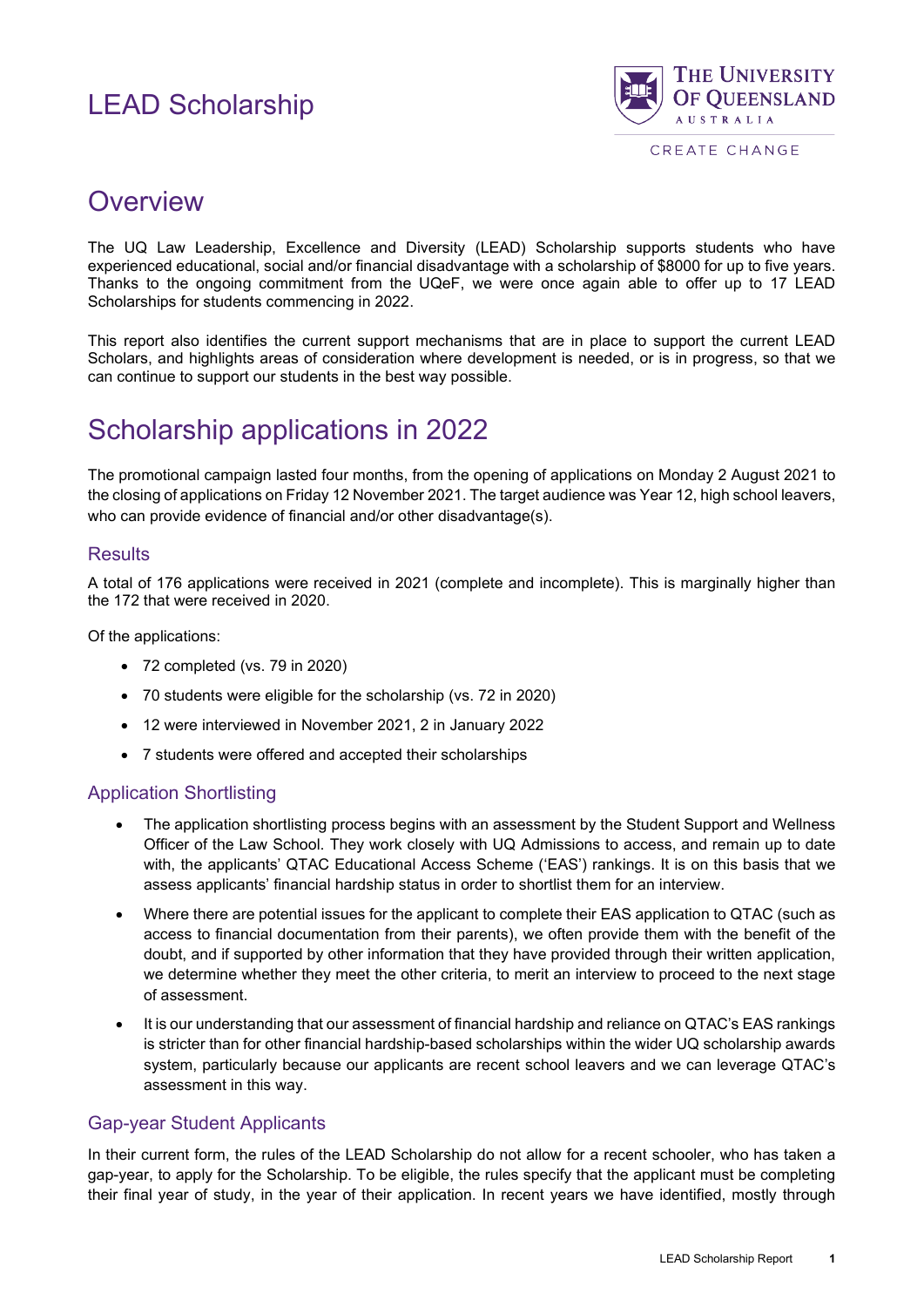

CREATE CHANGE

## <span id="page-2-0"></span>**Overview**

The UQ Law Leadership, Excellence and Diversity (LEAD) Scholarship supports students who have experienced educational, social and/or financial disadvantage with a scholarship of \$8000 for up to five years. Thanks to the ongoing commitment from the UQeF, we were once again able to offer up to 17 LEAD Scholarships for students commencing in 2022.

This report also identifies the current support mechanisms that are in place to support the current LEAD Scholars, and highlights areas of consideration where development is needed, or is in progress, so that we can continue to support our students in the best way possible.

# <span id="page-2-1"></span>Scholarship applications in 2022

The promotional campaign lasted four months, from the opening of applications on Monday 2 August 2021 to the closing of applications on Friday 12 November 2021. The target audience was Year 12, high school leavers, who can provide evidence of financial and/or other disadvantage(s).

## <span id="page-2-2"></span>**Results**

A total of 176 applications were received in 2021 (complete and incomplete). This is marginally higher than the 172 that were received in 2020.

Of the applications:

- 72 completed (vs. 79 in 2020)
- 70 students were eligible for the scholarship (vs. 72 in 2020)
- 12 were interviewed in November 2021, 2 in January 2022
- 7 students were offered and accepted their scholarships

## <span id="page-2-3"></span>Application Shortlisting

- The application shortlisting process begins with an assessment by the Student Support and Wellness Officer of the Law School. They work closely with UQ Admissions to access, and remain up to date with, the applicants' QTAC Educational Access Scheme ('EAS') rankings. It is on this basis that we assess applicants' financial hardship status in order to shortlist them for an interview.
- Where there are potential issues for the applicant to complete their EAS application to QTAC (such as access to financial documentation from their parents), we often provide them with the benefit of the doubt, and if supported by other information that they have provided through their written application, we determine whether they meet the other criteria, to merit an interview to proceed to the next stage of assessment.
- It is our understanding that our assessment of financial hardship and reliance on QTAC's EAS rankings is stricter than for other financial hardship-based scholarships within the wider UQ scholarship awards system, particularly because our applicants are recent school leavers and we can leverage QTAC's assessment in this way.

#### <span id="page-2-4"></span>Gap-year Student Applicants

In their current form, the rules of the LEAD Scholarship do not allow for a recent schooler, who has taken a gap-year, to apply for the Scholarship. To be eligible, the rules specify that the applicant must be completing their final year of study, in the year of their application. In recent years we have identified, mostly through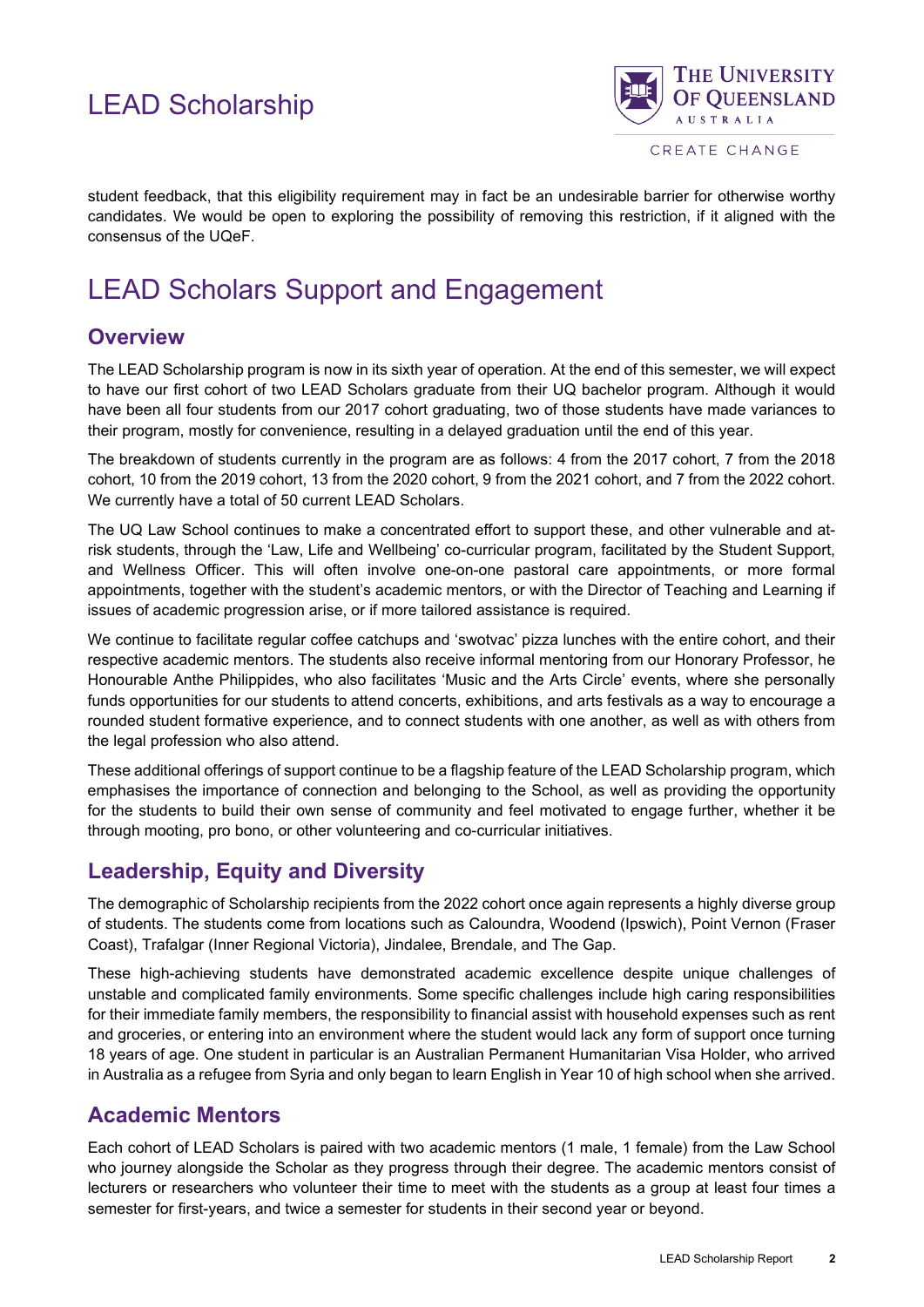

CREATE CHANGE

student feedback, that this eligibility requirement may in fact be an undesirable barrier for otherwise worthy candidates. We would be open to exploring the possibility of removing this restriction, if it aligned with the consensus of the UQeF.

# <span id="page-3-0"></span>LEAD Scholars Support and Engagement

## <span id="page-3-1"></span>**Overview**

The LEAD Scholarship program is now in its sixth year of operation. At the end of this semester, we will expect to have our first cohort of two LEAD Scholars graduate from their UQ bachelor program. Although it would have been all four students from our 2017 cohort graduating, two of those students have made variances to their program, mostly for convenience, resulting in a delayed graduation until the end of this year.

The breakdown of students currently in the program are as follows: 4 from the 2017 cohort, 7 from the 2018 cohort, 10 from the 2019 cohort, 13 from the 2020 cohort, 9 from the 2021 cohort, and 7 from the 2022 cohort. We currently have a total of 50 current LEAD Scholars.

The UQ Law School continues to make a concentrated effort to support these, and other vulnerable and atrisk students, through the 'Law, Life and Wellbeing' co-curricular program, facilitated by the Student Support, and Wellness Officer. This will often involve one-on-one pastoral care appointments, or more formal appointments, together with the student's academic mentors, or with the Director of Teaching and Learning if issues of academic progression arise, or if more tailored assistance is required.

We continue to facilitate regular coffee catchups and 'swotvac' pizza lunches with the entire cohort, and their respective academic mentors. The students also receive informal mentoring from our Honorary Professor, he Honourable Anthe Philippides, who also facilitates 'Music and the Arts Circle' events, where she personally funds opportunities for our students to attend concerts, exhibitions, and arts festivals as a way to encourage a rounded student formative experience, and to connect students with one another, as well as with others from the legal profession who also attend.

These additional offerings of support continue to be a flagship feature of the LEAD Scholarship program, which emphasises the importance of connection and belonging to the School, as well as providing the opportunity for the students to build their own sense of community and feel motivated to engage further, whether it be through mooting, pro bono, or other volunteering and co-curricular initiatives.

## <span id="page-3-2"></span>**Leadership, Equity and Diversity**

The demographic of Scholarship recipients from the 2022 cohort once again represents a highly diverse group of students. The students come from locations such as Caloundra, Woodend (Ipswich), Point Vernon (Fraser Coast), Trafalgar (Inner Regional Victoria), Jindalee, Brendale, and The Gap.

These high-achieving students have demonstrated academic excellence despite unique challenges of unstable and complicated family environments. Some specific challenges include high caring responsibilities for their immediate family members, the responsibility to financial assist with household expenses such as rent and groceries, or entering into an environment where the student would lack any form of support once turning 18 years of age. One student in particular is an Australian Permanent Humanitarian Visa Holder, who arrived in Australia as a refugee from Syria and only began to learn English in Year 10 of high school when she arrived.

## <span id="page-3-3"></span>**Academic Mentors**

Each cohort of LEAD Scholars is paired with two academic mentors (1 male, 1 female) from the Law School who journey alongside the Scholar as they progress through their degree. The academic mentors consist of lecturers or researchers who volunteer their time to meet with the students as a group at least four times a semester for first-years, and twice a semester for students in their second year or beyond.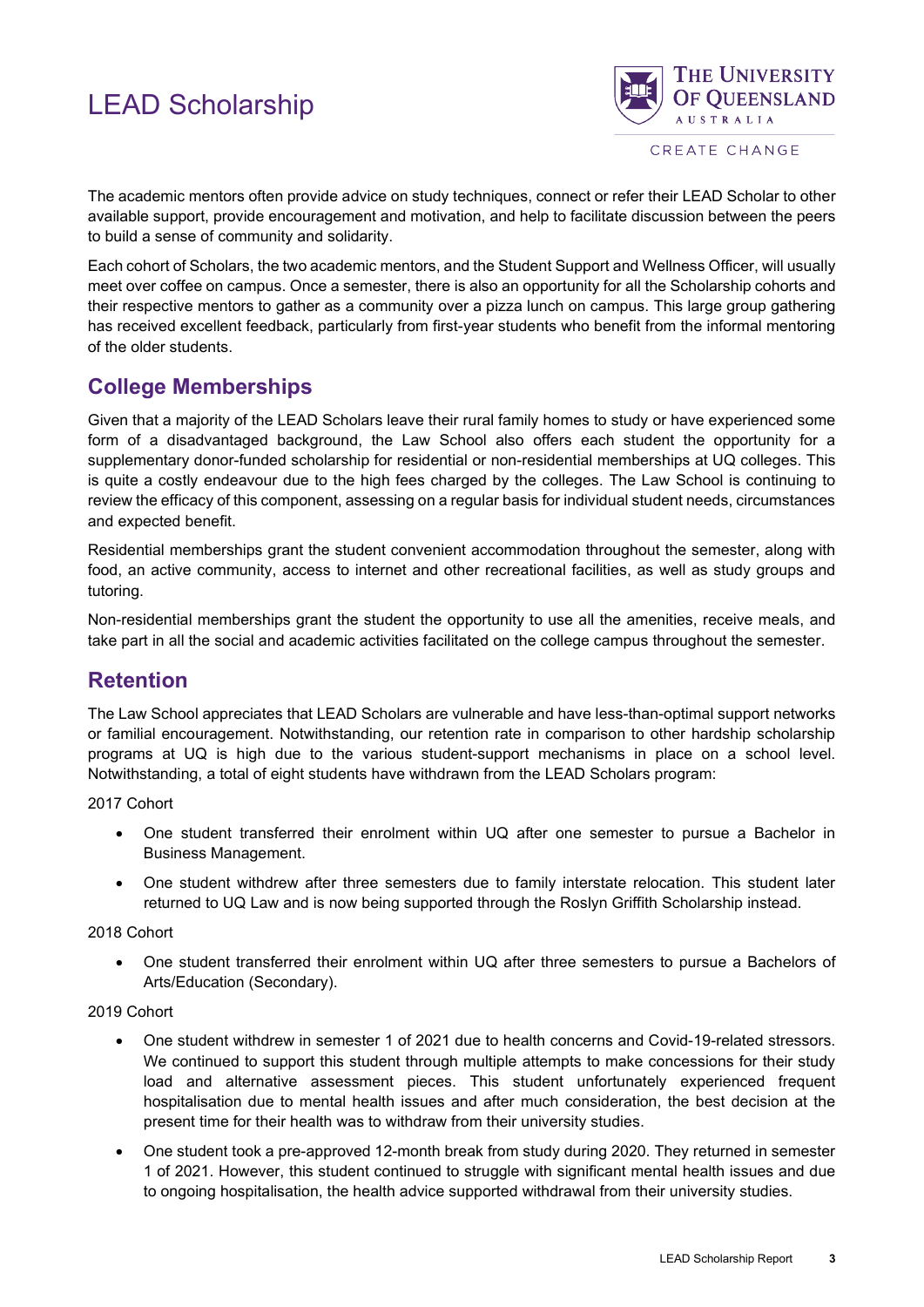

CREATE CHANGE

The academic mentors often provide advice on study techniques, connect or refer their LEAD Scholar to other available support, provide encouragement and motivation, and help to facilitate discussion between the peers to build a sense of community and solidarity.

Each cohort of Scholars, the two academic mentors, and the Student Support and Wellness Officer, will usually meet over coffee on campus. Once a semester, there is also an opportunity for all the Scholarship cohorts and their respective mentors to gather as a community over a pizza lunch on campus. This large group gathering has received excellent feedback, particularly from first-year students who benefit from the informal mentoring of the older students.

## <span id="page-4-0"></span>**College Memberships**

Given that a majority of the LEAD Scholars leave their rural family homes to study or have experienced some form of a disadvantaged background, the Law School also offers each student the opportunity for a supplementary donor-funded scholarship for residential or non-residential memberships at UQ colleges. This is quite a costly endeavour due to the high fees charged by the colleges. The Law School is continuing to review the efficacy of this component, assessing on a regular basis for individual student needs, circumstances and expected benefit.

Residential memberships grant the student convenient accommodation throughout the semester, along with food, an active community, access to internet and other recreational facilities, as well as study groups and tutoring.

Non-residential memberships grant the student the opportunity to use all the amenities, receive meals, and take part in all the social and academic activities facilitated on the college campus throughout the semester.

## <span id="page-4-1"></span>**Retention**

The Law School appreciates that LEAD Scholars are vulnerable and have less-than-optimal support networks or familial encouragement. Notwithstanding, our retention rate in comparison to other hardship scholarship programs at UQ is high due to the various student-support mechanisms in place on a school level. Notwithstanding, a total of eight students have withdrawn from the LEAD Scholars program:

2017 Cohort

- One student transferred their enrolment within UQ after one semester to pursue a Bachelor in Business Management.
- One student withdrew after three semesters due to family interstate relocation. This student later returned to UQ Law and is now being supported through the Roslyn Griffith Scholarship instead.

#### 2018 Cohort

• One student transferred their enrolment within UQ after three semesters to pursue a Bachelors of Arts/Education (Secondary).

#### 2019 Cohort

- One student withdrew in semester 1 of 2021 due to health concerns and Covid-19-related stressors. We continued to support this student through multiple attempts to make concessions for their study load and alternative assessment pieces. This student unfortunately experienced frequent hospitalisation due to mental health issues and after much consideration, the best decision at the present time for their health was to withdraw from their university studies.
- One student took a pre-approved 12-month break from study during 2020. They returned in semester 1 of 2021. However, this student continued to struggle with significant mental health issues and due to ongoing hospitalisation, the health advice supported withdrawal from their university studies.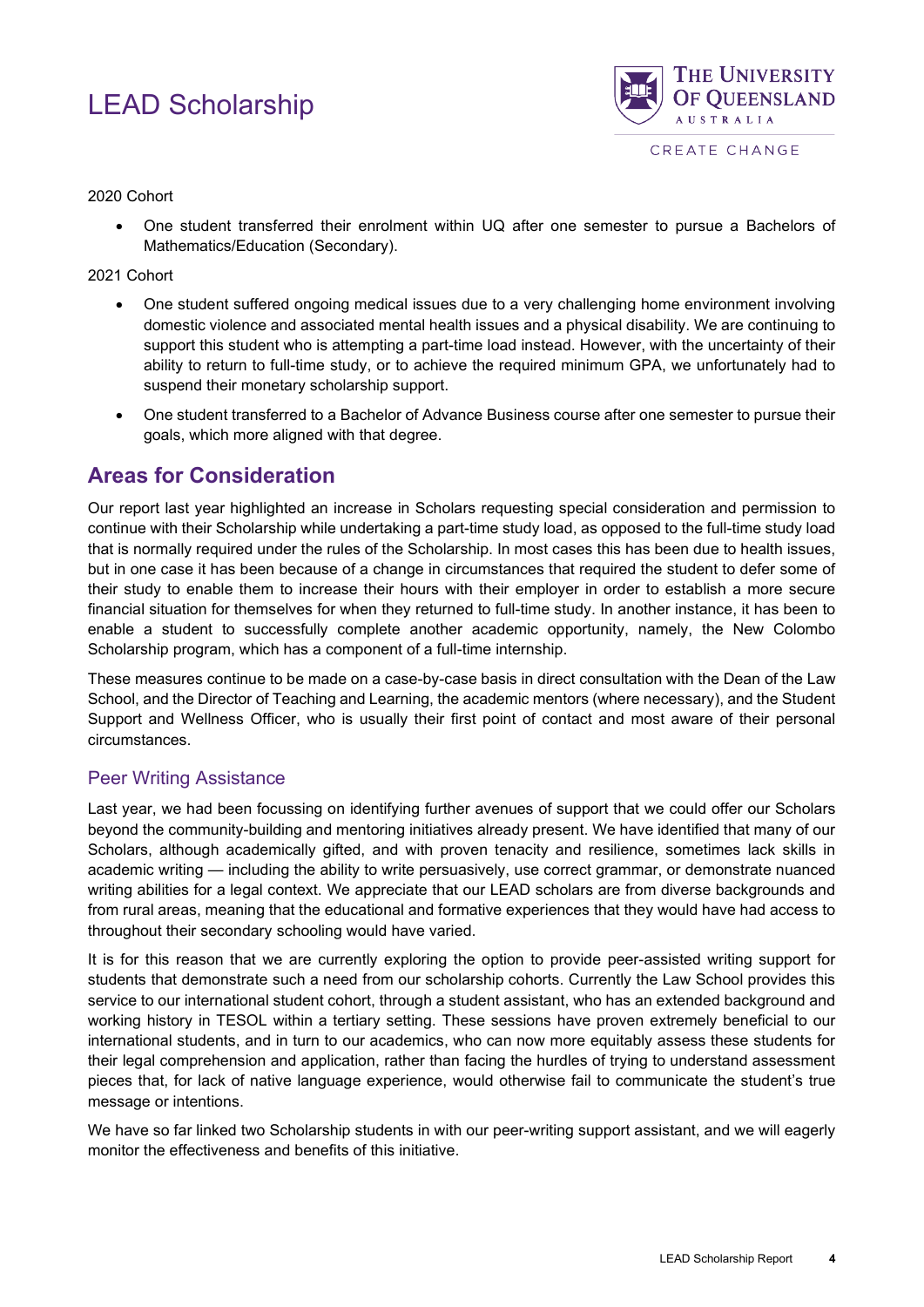

#### 2020 Cohort

• One student transferred their enrolment within UQ after one semester to pursue a Bachelors of Mathematics/Education (Secondary).

#### 2021 Cohort

- One student suffered ongoing medical issues due to a very challenging home environment involving domestic violence and associated mental health issues and a physical disability. We are continuing to support this student who is attempting a part-time load instead. However, with the uncertainty of their ability to return to full-time study, or to achieve the required minimum GPA, we unfortunately had to suspend their monetary scholarship support.
- One student transferred to a Bachelor of Advance Business course after one semester to pursue their goals, which more aligned with that degree.

## <span id="page-5-0"></span>**Areas for Consideration**

Our report last year highlighted an increase in Scholars requesting special consideration and permission to continue with their Scholarship while undertaking a part-time study load, as opposed to the full-time study load that is normally required under the rules of the Scholarship. In most cases this has been due to health issues, but in one case it has been because of a change in circumstances that required the student to defer some of their study to enable them to increase their hours with their employer in order to establish a more secure financial situation for themselves for when they returned to full-time study. In another instance, it has been to enable a student to successfully complete another academic opportunity, namely, the New Colombo Scholarship program, which has a component of a full-time internship.

These measures continue to be made on a case-by-case basis in direct consultation with the Dean of the Law School, and the Director of Teaching and Learning, the academic mentors (where necessary), and the Student Support and Wellness Officer, who is usually their first point of contact and most aware of their personal circumstances.

## <span id="page-5-1"></span>Peer Writing Assistance

Last year, we had been focussing on identifying further avenues of support that we could offer our Scholars beyond the community-building and mentoring initiatives already present. We have identified that many of our Scholars, although academically gifted, and with proven tenacity and resilience, sometimes lack skills in academic writing — including the ability to write persuasively, use correct grammar, or demonstrate nuanced writing abilities for a legal context. We appreciate that our LEAD scholars are from diverse backgrounds and from rural areas, meaning that the educational and formative experiences that they would have had access to throughout their secondary schooling would have varied.

It is for this reason that we are currently exploring the option to provide peer-assisted writing support for students that demonstrate such a need from our scholarship cohorts. Currently the Law School provides this service to our international student cohort, through a student assistant, who has an extended background and working history in TESOL within a tertiary setting. These sessions have proven extremely beneficial to our international students, and in turn to our academics, who can now more equitably assess these students for their legal comprehension and application, rather than facing the hurdles of trying to understand assessment pieces that, for lack of native language experience, would otherwise fail to communicate the student's true message or intentions.

We have so far linked two Scholarship students in with our peer-writing support assistant, and we will eagerly monitor the effectiveness and benefits of this initiative.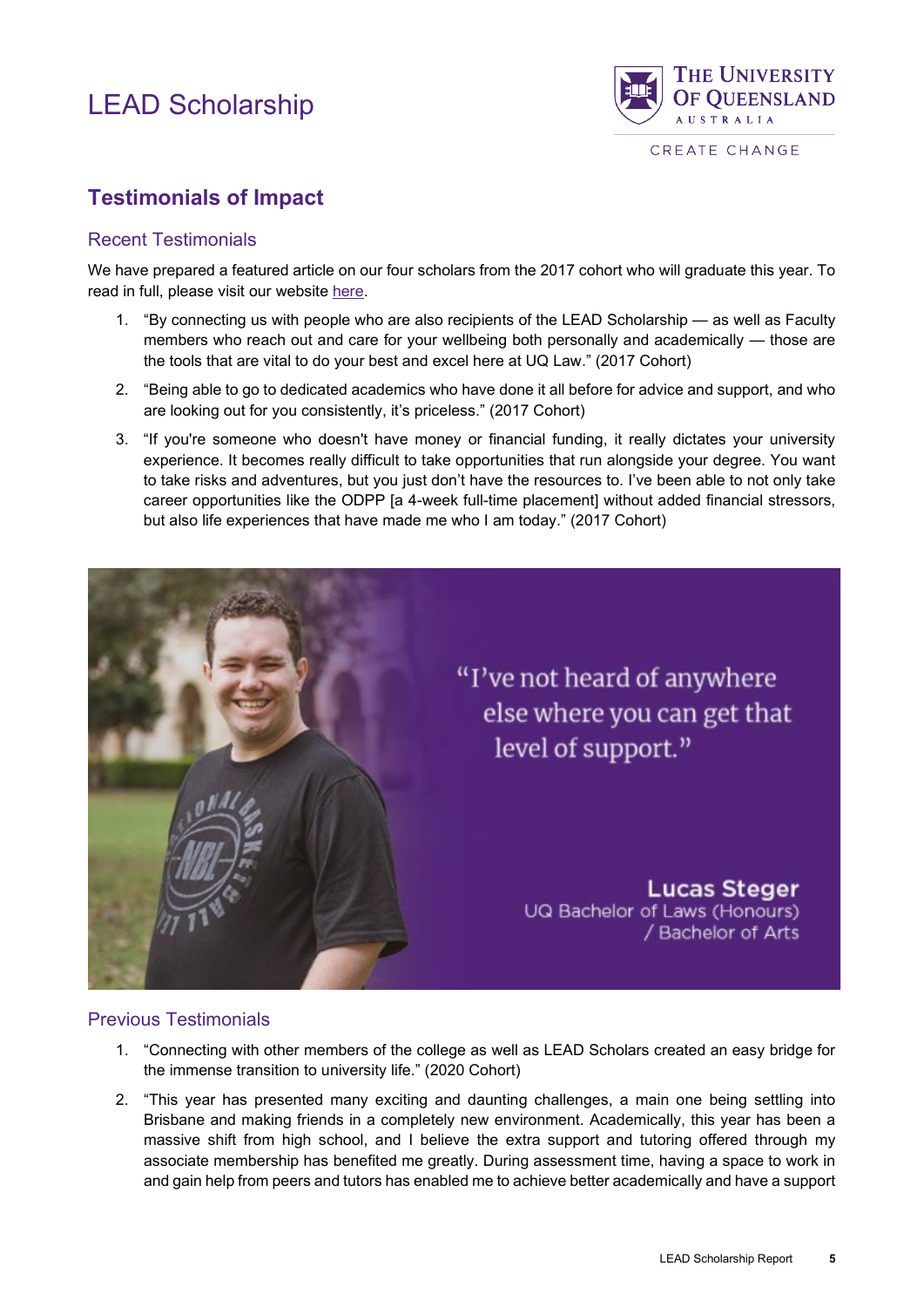

## <span id="page-6-0"></span>**Testimonials of Impact**

#### <span id="page-6-1"></span>Recent Testimonials

We have prepared a featured article on our four scholars from the 2017 cohort who will graduate this year. To read in full, please visit our website [here.](https://future-students.uq.edu.au/stories/lead-law-scholarship-recipients-2022?_ga=2.108385095.495689387.1653864881-1611010143.1582151355)

- 1. "By connecting us with people who are also recipients of the LEAD Scholarship as well as Faculty members who reach out and care for your wellbeing both personally and academically — those are the tools that are vital to do your best and excel here at UQ Law." (2017 Cohort)
- 2. "Being able to go to dedicated academics who have done it all before for advice and support, and who are looking out for you consistently, it's priceless." (2017 Cohort)
- 3. "If you're someone who doesn't have money or financial funding, it really dictates your university experience. It becomes really difficult to take opportunities that run alongside your degree. You want to take risks and adventures, but you just don't have the resources to. I've been able to not only take career opportunities like the ODPP [a 4-week full-time placement] without added financial stressors, but also life experiences that have made me who I am today." (2017 Cohort)



## <span id="page-6-2"></span>Previous Testimonials

- 1. "Connecting with other members of the college as well as LEAD Scholars created an easy bridge for the immense transition to university life." (2020 Cohort)
- 2. "This year has presented many exciting and daunting challenges, a main one being settling into Brisbane and making friends in a completely new environment. Academically, this year has been a massive shift from high school, and I believe the extra support and tutoring offered through my associate membership has benefited me greatly. During assessment time, having a space to work in and gain help from peers and tutors has enabled me to achieve better academically and have a support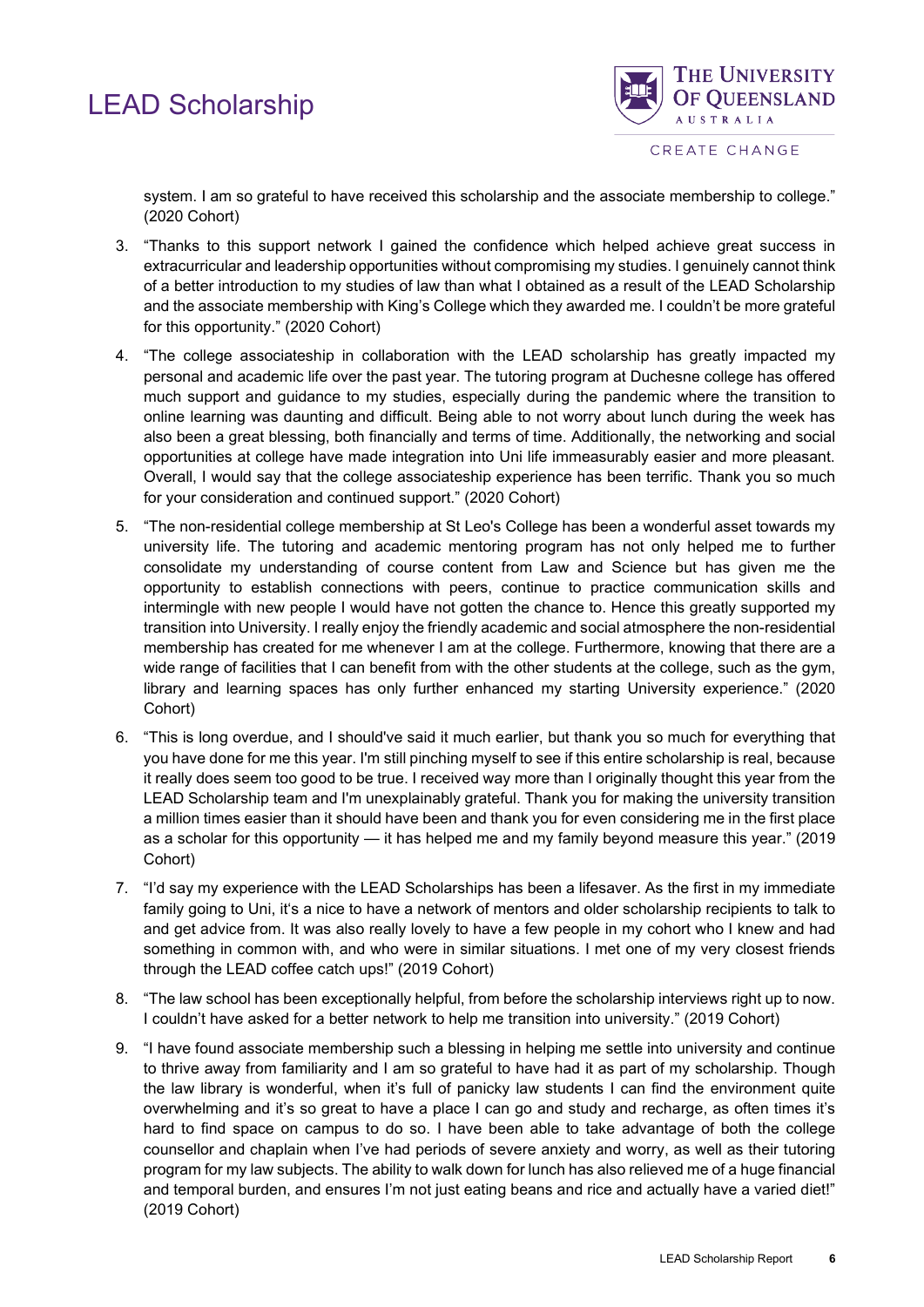

system. I am so grateful to have received this scholarship and the associate membership to college." (2020 Cohort)

- 3. "Thanks to this support network I gained the confidence which helped achieve great success in extracurricular and leadership opportunities without compromising my studies. I genuinely cannot think of a better introduction to my studies of law than what I obtained as a result of the LEAD Scholarship and the associate membership with King's College which they awarded me. I couldn't be more grateful for this opportunity." (2020 Cohort)
- 4. "The college associateship in collaboration with the LEAD scholarship has greatly impacted my personal and academic life over the past year. The tutoring program at Duchesne college has offered much support and guidance to my studies, especially during the pandemic where the transition to online learning was daunting and difficult. Being able to not worry about lunch during the week has also been a great blessing, both financially and terms of time. Additionally, the networking and social opportunities at college have made integration into Uni life immeasurably easier and more pleasant. Overall, I would say that the college associateship experience has been terrific. Thank you so much for your consideration and continued support." (2020 Cohort)
- 5. "The non-residential college membership at St Leo's College has been a wonderful asset towards my university life. The tutoring and academic mentoring program has not only helped me to further consolidate my understanding of course content from Law and Science but has given me the opportunity to establish connections with peers, continue to practice communication skills and intermingle with new people I would have not gotten the chance to. Hence this greatly supported my transition into University. I really enjoy the friendly academic and social atmosphere the non-residential membership has created for me whenever I am at the college. Furthermore, knowing that there are a wide range of facilities that I can benefit from with the other students at the college, such as the gym, library and learning spaces has only further enhanced my starting University experience." (2020 Cohort)
- 6. "This is long overdue, and I should've said it much earlier, but thank you so much for everything that you have done for me this year. I'm still pinching myself to see if this entire scholarship is real, because it really does seem too good to be true. I received way more than I originally thought this year from the LEAD Scholarship team and I'm unexplainably grateful. Thank you for making the university transition a million times easier than it should have been and thank you for even considering me in the first place as a scholar for this opportunity — it has helped me and my family beyond measure this year." (2019 Cohort)
- 7. "I'd say my experience with the LEAD Scholarships has been a lifesaver. As the first in my immediate family going to Uni, it's a nice to have a network of mentors and older scholarship recipients to talk to and get advice from. It was also really lovely to have a few people in my cohort who I knew and had something in common with, and who were in similar situations. I met one of my very closest friends through the LEAD coffee catch ups!" (2019 Cohort)
- 8. "The law school has been exceptionally helpful, from before the scholarship interviews right up to now. I couldn't have asked for a better network to help me transition into university." (2019 Cohort)
- 9. "I have found associate membership such a blessing in helping me settle into university and continue to thrive away from familiarity and I am so grateful to have had it as part of my scholarship. Though the law library is wonderful, when it's full of panicky law students I can find the environment quite overwhelming and it's so great to have a place I can go and study and recharge, as often times it's hard to find space on campus to do so. I have been able to take advantage of both the college counsellor and chaplain when I've had periods of severe anxiety and worry, as well as their tutoring program for my law subjects. The ability to walk down for lunch has also relieved me of a huge financial and temporal burden, and ensures I'm not just eating beans and rice and actually have a varied diet!" (2019 Cohort)